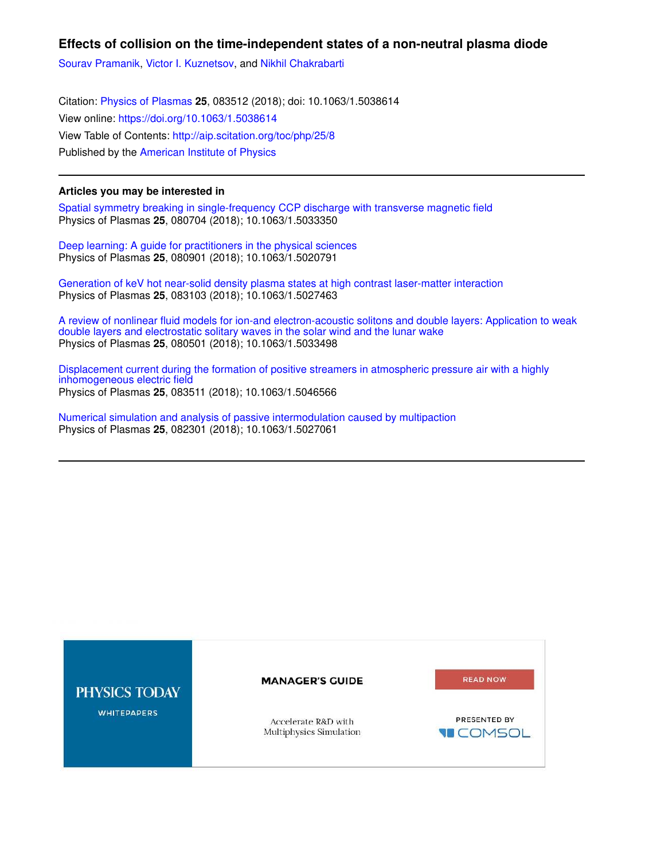## **Effects of collision on the time-independent states of a non-neutral plasma diode**

Sourav Pramanik, Victor I. Kuznetsov, and Nikhil Chakrabarti

Citation: Physics of Plasmas **25**, 083512 (2018); doi: 10.1063/1.5038614 View online: https://doi.org/10.1063/1.5038614 View Table of Contents: http://aip.scitation.org/toc/php/25/8 Published by the American Institute of Physics

## **Articles you may be interested in**

Spatial symmetry breaking in single-frequency CCP discharge with transverse magnetic field Physics of Plasmas **25**, 080704 (2018); 10.1063/1.5033350

Deep learning: A guide for practitioners in the physical sciences Physics of Plasmas **25**, 080901 (2018); 10.1063/1.5020791

Generation of keV hot near-solid density plasma states at high contrast laser-matter interaction Physics of Plasmas **25**, 083103 (2018); 10.1063/1.5027463

A review of nonlinear fluid models for ion-and electron-acoustic solitons and double layers: Application to weak double layers and electrostatic solitary waves in the solar wind and the lunar wake Physics of Plasmas **25**, 080501 (2018); 10.1063/1.5033498

Displacement current during the formation of positive streamers in atmospheric pressure air with a highly inhomogeneous electric field Physics of Plasmas **25**, 083511 (2018); 10.1063/1.5046566

Numerical simulation and analysis of passive intermodulation caused by multipaction Physics of Plasmas **25**, 082301 (2018); 10.1063/1.5027061

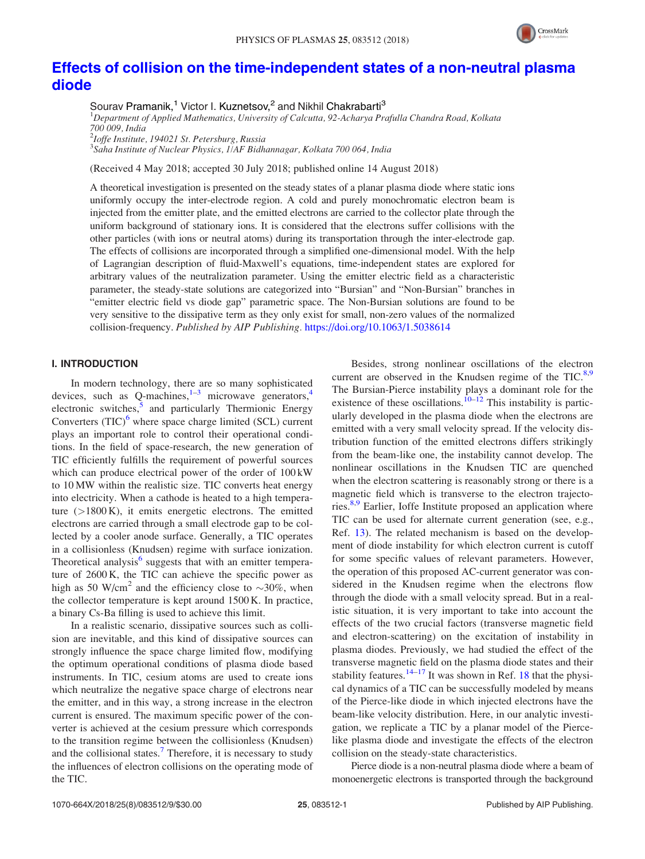

# Effects of collision on the time-independent states of a non-neutral plasma diode

Sourav Pramanik,<sup>1</sup> Victor I. Kuznetsov,<sup>2</sup> and Nikhil Chakrabarti<sup>3</sup>

<sup>1</sup>Department of Applied Mathematics, University of Calcutta, 92-Acharya Prafulla Chandra Road, Kolkata

700 009, India 2 Ioffe Institute, 194021 St. Petersburg, Russia

<sup>3</sup>Saha Institute of Nuclear Physics, 1/AF Bidhannagar, Kolkata 700 064, India

(Received 4 May 2018; accepted 30 July 2018; published online 14 August 2018)

A theoretical investigation is presented on the steady states of a planar plasma diode where static ions uniformly occupy the inter-electrode region. A cold and purely monochromatic electron beam is injected from the emitter plate, and the emitted electrons are carried to the collector plate through the uniform background of stationary ions. It is considered that the electrons suffer collisions with the other particles (with ions or neutral atoms) during its transportation through the inter-electrode gap. The effects of collisions are incorporated through a simplified one-dimensional model. With the help of Lagrangian description of fluid-Maxwell's equations, time-independent states are explored for arbitrary values of the neutralization parameter. Using the emitter electric field as a characteristic parameter, the steady-state solutions are categorized into "Bursian" and "Non-Bursian" branches in "emitter electric field vs diode gap" parametric space. The Non-Bursian solutions are found to be very sensitive to the dissipative term as they only exist for small, non-zero values of the normalized collision-frequency. Published by AIP Publishing. https://doi.org/10.1063/1.5038614

### I. INTRODUCTION

In modern technology, there are so many sophisticated devices, such as  $Q$ -machines, $1^{-3}$  microwave generators, $4$ electronic switches,<sup>5</sup> and particularly Thermionic Energy Converters  $(TIC)^6$  where space charge limited (SCL) current plays an important role to control their operational conditions. In the field of space-research, the new generation of TIC efficiently fulfills the requirement of powerful sources which can produce electrical power of the order of 100 kW to 10 MW within the realistic size. TIC converts heat energy into electricity. When a cathode is heated to a high temperature  $(>1800 \text{ K})$ , it emits energetic electrons. The emitted electrons are carried through a small electrode gap to be collected by a cooler anode surface. Generally, a TIC operates in a collisionless (Knudsen) regime with surface ionization. Theoretical analysis<sup>6</sup> suggests that with an emitter temperature of 2600 K, the TIC can achieve the specific power as high as 50 W/cm<sup>2</sup> and the efficiency close to  $\sim$ 30%, when the collector temperature is kept around 1500 K. In practice, a binary Cs-Ba filling is used to achieve this limit.

In a realistic scenario, dissipative sources such as collision are inevitable, and this kind of dissipative sources can strongly influence the space charge limited flow, modifying the optimum operational conditions of plasma diode based instruments. In TIC, cesium atoms are used to create ions which neutralize the negative space charge of electrons near the emitter, and in this way, a strong increase in the electron current is ensured. The maximum specific power of the converter is achieved at the cesium pressure which corresponds to the transition regime between the collisionless (Knudsen) and the collisional states.<sup>7</sup> Therefore, it is necessary to study the influences of electron collisions on the operating mode of the TIC.

Besides, strong nonlinear oscillations of the electron current are observed in the Knudsen regime of the TIC. $8.9$ The Bursian-Pierce instability plays a dominant role for the existence of these oscillations.<sup> $10-12$ </sup> This instability is particularly developed in the plasma diode when the electrons are emitted with a very small velocity spread. If the velocity distribution function of the emitted electrons differs strikingly from the beam-like one, the instability cannot develop. The nonlinear oscillations in the Knudsen TIC are quenched when the electron scattering is reasonably strong or there is a magnetic field which is transverse to the electron trajectories.<sup>8,9</sup> Earlier, Ioffe Institute proposed an application where TIC can be used for alternate current generation (see, e.g., Ref. 13). The related mechanism is based on the development of diode instability for which electron current is cutoff for some specific values of relevant parameters. However, the operation of this proposed AC-current generator was considered in the Knudsen regime when the electrons flow through the diode with a small velocity spread. But in a realistic situation, it is very important to take into account the effects of the two crucial factors (transverse magnetic field and electron-scattering) on the excitation of instability in plasma diodes. Previously, we had studied the effect of the transverse magnetic field on the plasma diode states and their stability features.<sup>14–17</sup> It was shown in Ref. 18 that the physical dynamics of a TIC can be successfully modeled by means of the Pierce-like diode in which injected electrons have the beam-like velocity distribution. Here, in our analytic investigation, we replicate a TIC by a planar model of the Piercelike plasma diode and investigate the effects of the electron collision on the steady-state characteristics.

Pierce diode is a non-neutral plasma diode where a beam of monoenergetic electrons is transported through the background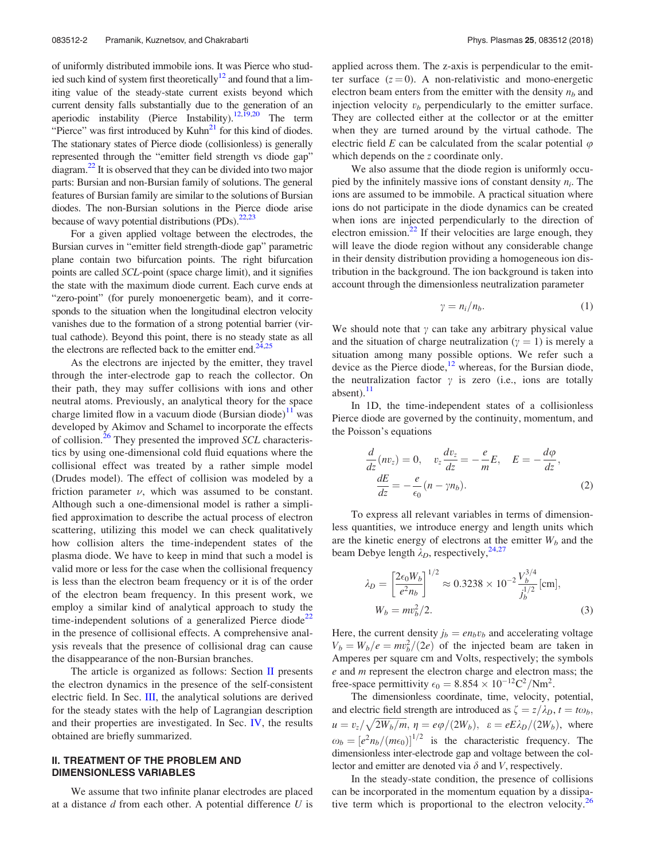of uniformly distributed immobile ions. It was Pierce who studied such kind of system first theoretically<sup>12</sup> and found that a limiting value of the steady-state current exists beyond which current density falls substantially due to the generation of an aperiodic instability (Pierce Instability).<sup>12,19,20</sup> The term "Pierce" was first introduced by Kuhn<sup>21</sup> for this kind of diodes. The stationary states of Pierce diode (collisionless) is generally represented through the "emitter field strength vs diode gap" diagram.<sup>22</sup> It is observed that they can be divided into two major parts: Bursian and non-Bursian family of solutions. The general features of Bursian family are similar to the solutions of Bursian diodes. The non-Bursian solutions in the Pierce diode arise because of wavy potential distributions  $(PDs)$ <sup>22,23</sup>

For a given applied voltage between the electrodes, the Bursian curves in "emitter field strength-diode gap" parametric plane contain two bifurcation points. The right bifurcation points are called SCL-point (space charge limit), and it signifies the state with the maximum diode current. Each curve ends at "zero-point" (for purely monoenergetic beam), and it corresponds to the situation when the longitudinal electron velocity vanishes due to the formation of a strong potential barrier (virtual cathode). Beyond this point, there is no steady state as all the electrons are reflected back to the emitter end.<sup>24,25</sup>

As the electrons are injected by the emitter, they travel through the inter-electrode gap to reach the collector. On their path, they may suffer collisions with ions and other neutral atoms. Previously, an analytical theory for the space charge limited flow in a vacuum diode (Bursian diode) $<sup>11</sup>$  was</sup> developed by Akimov and Schamel to incorporate the effects of collision.<sup>26</sup> They presented the improved SCL characteristics by using one-dimensional cold fluid equations where the collisional effect was treated by a rather simple model (Drudes model). The effect of collision was modeled by a friction parameter  $\nu$ , which was assumed to be constant. Although such a one-dimensional model is rather a simplified approximation to describe the actual process of electron scattering, utilizing this model we can check qualitatively how collision alters the time-independent states of the plasma diode. We have to keep in mind that such a model is valid more or less for the case when the collisional frequency is less than the electron beam frequency or it is of the order of the electron beam frequency. In this present work, we employ a similar kind of analytical approach to study the time-independent solutions of a generalized Pierce diode<sup>22</sup> in the presence of collisional effects. A comprehensive analysis reveals that the presence of collisional drag can cause the disappearance of the non-Bursian branches.

The article is organized as follows: Section  $\Pi$  presents the electron dynamics in the presence of the self-consistent electric field. In Sec. III, the analytical solutions are derived for the steady states with the help of Lagrangian description and their properties are investigated. In Sec. IV, the results obtained are briefly summarized.

#### II. TREATMENT OF THE PROBLEM AND DIMENSIONLESS VARIABLES

We assume that two infinite planar electrodes are placed at a distance  $d$  from each other. A potential difference  $U$  is applied across them. The z-axis is perpendicular to the emitter surface  $(z = 0)$ . A non-relativistic and mono-energetic electron beam enters from the emitter with the density  $n_b$  and injection velocity  $v<sub>b</sub>$  perpendicularly to the emitter surface. They are collected either at the collector or at the emitter when they are turned around by the virtual cathode. The electric field E can be calculated from the scalar potential  $\varphi$ which depends on the *z* coordinate only.

We also assume that the diode region is uniformly occupied by the infinitely massive ions of constant density  $n_i$ . The ions are assumed to be immobile. A practical situation where ions do not participate in the diode dynamics can be created when ions are injected perpendicularly to the direction of electron emission. $^{22}$  If their velocities are large enough, they will leave the diode region without any considerable change in their density distribution providing a homogeneous ion distribution in the background. The ion background is taken into account through the dimensionless neutralization parameter

$$
\gamma = n_i/n_b. \tag{1}
$$

We should note that  $\gamma$  can take any arbitrary physical value and the situation of charge neutralization ( $\gamma = 1$ ) is merely a situation among many possible options. We refer such a device as the Pierce diode,<sup>12</sup> whereas, for the Bursian diode, the neutralization factor  $\gamma$  is zero (i.e., ions are totally absent). $^{11}$ 

In 1D, the time-independent states of a collisionless Pierce diode are governed by the continuity, momentum, and the Poisson's equations

$$
\frac{d}{dz}(nv_z) = 0, \quad v_z \frac{dv_z}{dz} = -\frac{e}{m}E, \quad E = -\frac{d\varphi}{dz},
$$
\n
$$
\frac{dE}{dz} = -\frac{e}{\epsilon_0}(n - \gamma n_b).
$$
\n(2)

To express all relevant variables in terms of dimensionless quantities, we introduce energy and length units which are the kinetic energy of electrons at the emitter  $W_b$  and the beam Debye length  $\lambda_D$ , respectively,<sup>24,27</sup>

$$
\lambda_D = \left[\frac{2\epsilon_0 W_b}{e^2 n_b}\right]^{1/2} \approx 0.3238 \times 10^{-2} \frac{V_b^{3/4}}{j_b^{1/2}} [\text{cm}],
$$
  

$$
W_b = m v_b^2 / 2.
$$
 (3)

Here, the current density  $j_b = en_bv_b$  and accelerating voltage  $V_b = W_b/e = mv_b^2/(2e)$  of the injected beam are taken in Amperes per square cm and Volts, respectively; the symbols  $e$  and  $m$  represent the electron charge and electron mass; the free-space permittivity  $\epsilon_0 = 8.854 \times 10^{-12} \text{C}^2/\text{Nm}^2$ .

The dimensionless coordinate, time, velocity, potential, and electric field strength are introduced as  $\zeta = z/\lambda_D$ ,  $t = t\omega_b$ ,  $u = v_z/\sqrt{2W_b/m}, \eta = e\varphi/(2W_b), \varepsilon = eE\lambda_D/(2W_b)$ , where  $\omega_b = \left[ e^2 n_b / (m \epsilon_0) \right]^{1/2}$  is the characteristic frequency. The dimensionless inter-electrode gap and voltage between the collector and emitter are denoted via  $\delta$  and V, respectively.

In the steady-state condition, the presence of collisions can be incorporated in the momentum equation by a dissipative term which is proportional to the electron velocity.<sup>26</sup>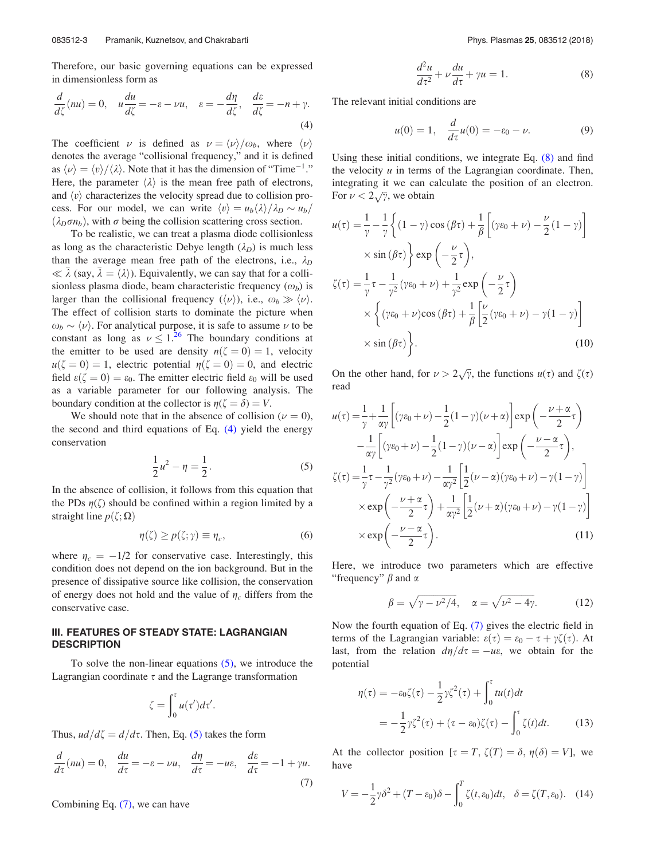Therefore, our basic governing equations can be expressed in dimensionless form as

$$
\frac{d}{d\zeta}(nu) = 0, \quad u\frac{du}{d\zeta} = -\varepsilon - \nu u, \quad \varepsilon = -\frac{d\eta}{d\zeta}, \quad \frac{d\varepsilon}{d\zeta} = -n + \gamma.
$$
\n(4)

The coefficient  $\nu$  is defined as  $\nu = \langle \nu \rangle / \omega_b$ , where  $\langle \nu \rangle$ denotes the average "collisional frequency," and it is defined as  $\langle \nu \rangle = \langle \nu \rangle / \langle \lambda \rangle$ . Note that it has the dimension of "Time<sup>-1</sup>." Here, the parameter  $\langle \lambda \rangle$  is the mean free path of electrons, and  $\langle v \rangle$  characterizes the velocity spread due to collision process. For our model, we can write  $\langle v \rangle = u_b \langle \lambda \rangle / \lambda_D \sim u_b /$  $(\lambda_D \sigma n_b)$ , with  $\sigma$  being the collision scattering cross section.

To be realistic, we can treat a plasma diode collisionless as long as the characteristic Debye length  $(\lambda_D)$  is much less than the average mean free path of the electrons, i.e.,  $\lambda_D$  $\ll \bar{\lambda}$  (say,  $\bar{\lambda} = \langle \lambda \rangle$ ). Equivalently, we can say that for a collisionless plasma diode, beam characteristic frequency  $(\omega_b)$  is larger than the collisional frequency  $(\langle \nu \rangle)$ , i.e.,  $\omega_b \gg \langle \nu \rangle$ . The effect of collision starts to dominate the picture when  $\omega_b \sim \langle \nu \rangle$ . For analytical purpose, it is safe to assume  $\nu$  to be constant as long as  $\nu \leq 1^{26}$  The boundary conditions at the emitter to be used are density  $n(\zeta = 0) = 1$ , velocity  $u(\zeta = 0) = 1$ , electric potential  $\eta(\zeta = 0) = 0$ , and electric field  $\varepsilon(\zeta = 0) = \varepsilon_0$ . The emitter electric field  $\varepsilon_0$  will be used as a variable parameter for our following analysis. The boundary condition at the collector is  $\eta(\zeta = \delta) = V$ .

We should note that in the absence of collision ( $\nu = 0$ ), the second and third equations of Eq. (4) yield the energy conservation

$$
\frac{1}{2}u^2 - \eta = \frac{1}{2}.
$$
 (5)

In the absence of collision, it follows from this equation that the PDs  $\eta(\zeta)$  should be confined within a region limited by a straight line  $p(\zeta; \Omega)$ 

$$
\eta(\zeta) \ge p(\zeta; \gamma) \equiv \eta_c,\tag{6}
$$

where  $\eta_c = -1/2$  for conservative case. Interestingly, this condition does not depend on the ion background. But in the presence of dissipative source like collision, the conservation of energy does not hold and the value of  $\eta_c$  differs from the conservative case.

#### III. FEATURES OF STEADY STATE: LAGRANGIAN **DESCRIPTION**

To solve the non-linear equations  $(5)$ , we introduce the Lagrangian coordinate  $\tau$  and the Lagrange transformation

$$
\zeta = \int_0^{\tau} u(\tau') d\tau'.
$$

Thus,  $ud/d\zeta = d/d\tau$ . Then, Eq. (5) takes the form

$$
\frac{d}{d\tau}(nu) = 0, \quad \frac{du}{d\tau} = -\varepsilon - \nu u, \quad \frac{d\eta}{d\tau} = -u\varepsilon, \quad \frac{d\varepsilon}{d\tau} = -1 + \gamma u.
$$
\n(7)

Combining Eq. (7), we can have

$$
\frac{d^2u}{d\tau^2} + \nu \frac{du}{d\tau} + \gamma u = 1.
$$
 (8)

The relevant initial conditions are

$$
u(0) = 1, \quad \frac{d}{d\tau}u(0) = -\varepsilon_0 - \nu. \tag{9}
$$

Using these initial conditions, we integrate Eq. (8) and find the velocity  $u$  in terms of the Lagrangian coordinate. Then, integrating it we can calculate the position of an electron. For  $\nu < 2\sqrt{\gamma}$ , we obtain

$$
u(\tau) = \frac{1}{\gamma} - \frac{1}{\gamma} \left\{ (1 - \gamma) \cos(\beta \tau) + \frac{1}{\beta} \left[ (\gamma \varepsilon_0 + \nu) - \frac{\nu}{2} (1 - \gamma) \right] \right\}
$$
  
\n
$$
\times \sin(\beta \tau) \left\} \exp\left(-\frac{\nu}{2} \tau\right),
$$
  
\n
$$
\zeta(\tau) = \frac{1}{\gamma} \tau - \frac{1}{\gamma^2} (\gamma \varepsilon_0 + \nu) + \frac{1}{\gamma^2} \exp\left(-\frac{\nu}{2} \tau\right)
$$
  
\n
$$
\times \left\{ (\gamma \varepsilon_0 + \nu) \cos(\beta \tau) + \frac{1}{\beta} \left[ \frac{\nu}{2} (\gamma \varepsilon_0 + \nu) - \gamma (1 - \gamma) \right] \right\}
$$
  
\n
$$
\times \sin(\beta \tau) \left\}.
$$
 (10)

On the other hand, for  $\nu > 2\sqrt{\gamma}$ , the functions  $u(\tau)$  and  $\zeta(\tau)$ read

$$
u(\tau) = \frac{1}{\gamma} + \frac{1}{\alpha \gamma} \left[ (\gamma \varepsilon_0 + \nu) - \frac{1}{2} (1 - \gamma) (\nu + \alpha) \right] \exp\left( -\frac{\nu + \alpha}{2} \tau \right)
$$
  

$$
- \frac{1}{\alpha \gamma} \left[ (\gamma \varepsilon_0 + \nu) - \frac{1}{2} (1 - \gamma) (\nu - \alpha) \right] \exp\left( -\frac{\nu - \alpha}{2} \tau \right),
$$
  

$$
\zeta(\tau) = \frac{1}{\gamma} \tau - \frac{1}{\gamma^2} (\gamma \varepsilon_0 + \nu) - \frac{1}{\alpha \gamma^2} \left[ \frac{1}{2} (\nu - \alpha) (\gamma \varepsilon_0 + \nu) - \gamma (1 - \gamma) \right]
$$
  

$$
\times \exp\left( -\frac{\nu + \alpha}{2} \tau \right) + \frac{1}{\alpha \gamma^2} \left[ \frac{1}{2} (\nu + \alpha) (\gamma \varepsilon_0 + \nu) - \gamma (1 - \gamma) \right]
$$
  

$$
\times \exp\left( -\frac{\nu - \alpha}{2} \tau \right).
$$
 (11)

Here, we introduce two parameters which are effective "frequency"  $\beta$  and  $\alpha$ 

$$
\beta = \sqrt{\gamma - \nu^2/4}, \quad \alpha = \sqrt{\nu^2 - 4\gamma}.
$$
 (12)

Now the fourth equation of Eq. (7) gives the electric field in terms of the Lagrangian variable:  $\varepsilon(\tau) = \varepsilon_0 - \tau + \gamma \zeta(\tau)$ . At last, from the relation  $d\eta/d\tau = -u\epsilon$ , we obtain for the potential

$$
\eta(\tau) = -\varepsilon_0 \zeta(\tau) - \frac{1}{2} \gamma \zeta^2(\tau) + \int_0^{\tau} t u(t) dt
$$

$$
= -\frac{1}{2} \gamma \zeta^2(\tau) + (\tau - \varepsilon_0) \zeta(\tau) - \int_0^{\tau} \zeta(t) dt. \tag{13}
$$

At the collector position  $[\tau = T, \zeta(T) = \delta, \eta(\delta) = V]$ , we have

$$
V = -\frac{1}{2}\gamma\delta^2 + (T - \varepsilon_0)\delta - \int_0^T \zeta(t, \varepsilon_0)dt, \quad \delta = \zeta(T, \varepsilon_0). \quad (14)
$$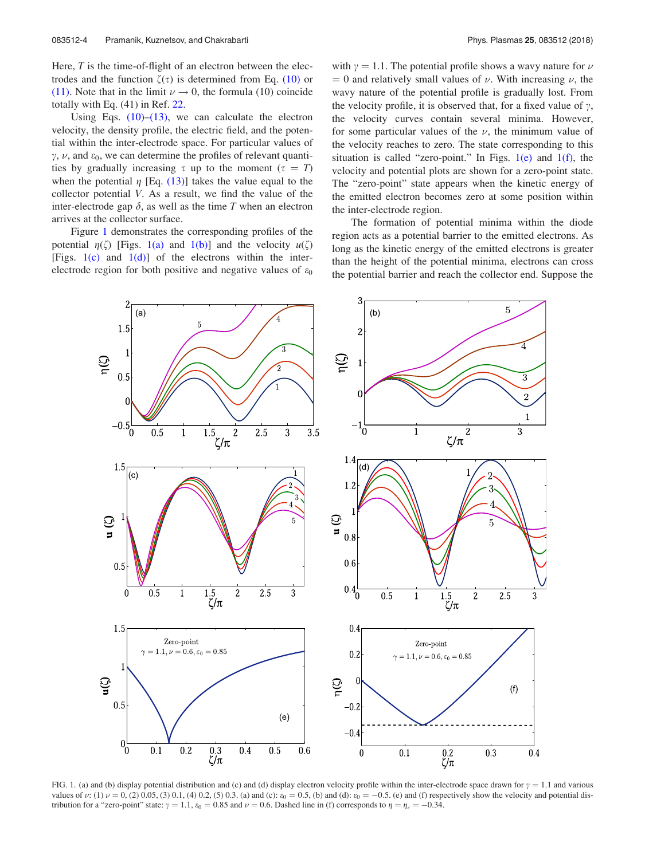Here,  $T$  is the time-of-flight of an electron between the electrodes and the function  $\zeta(\tau)$  is determined from Eq. (10) or (11). Note that in the limit  $\nu \to 0$ , the formula (10) coincide totally with Eq. (41) in Ref. 22.

Using Eqs.  $(10)$ – $(13)$ , we can calculate the electron velocity, the density profile, the electric field, and the potential within the inter-electrode space. For particular values of  $\gamma$ ,  $\nu$ , and  $\varepsilon_0$ , we can determine the profiles of relevant quantities by gradually increasing  $\tau$  up to the moment ( $\tau = T$ ) when the potential  $\eta$  [Eq. (13)] takes the value equal to the collector potential V. As a result, we find the value of the inter-electrode gap  $\delta$ , as well as the time T when an electron arrives at the collector surface.

Figure 1 demonstrates the corresponding profiles of the potential  $\eta(\zeta)$  [Figs. 1(a) and 1(b)] and the velocity  $u(\zeta)$ [Figs.  $1(c)$  and  $1(d)$ ] of the electrons within the interelectrode region for both positive and negative values of  $\varepsilon_0$ 

with  $\gamma = 1.1$ . The potential profile shows a wavy nature for  $\nu$  $= 0$  and relatively small values of  $\nu$ . With increasing  $\nu$ , the wavy nature of the potential profile is gradually lost. From the velocity profile, it is observed that, for a fixed value of  $\gamma$ , the velocity curves contain several minima. However, for some particular values of the  $\nu$ , the minimum value of the velocity reaches to zero. The state corresponding to this situation is called "zero-point." In Figs.  $1(e)$  and  $1(f)$ , the velocity and potential plots are shown for a zero-point state. The "zero-point" state appears when the kinetic energy of the emitted electron becomes zero at some position within the inter-electrode region.

The formation of potential minima within the diode region acts as a potential barrier to the emitted electrons. As long as the kinetic energy of the emitted electrons is greater than the height of the potential minima, electrons can cross the potential barrier and reach the collector end. Suppose the



FIG. 1. (a) and (b) display potential distribution and (c) and (d) display electron velocity profile within the inter-electrode space drawn for  $\gamma = 1.1$  and various values of v: (1)  $\nu = 0$ , (2) 0.05, (3) 0.1, (4) 0.2, (5) 0.3. (a) and (c):  $\varepsilon_0 = 0.5$ , (b) and (d):  $\varepsilon_0 = -0.5$ . (e) and (f) respectively show the velocity and potential distribution for a "zero-point" state:  $\gamma = 1.1$ ,  $\varepsilon_0 = 0.85$  and  $\nu = 0.6$ . Dashed line in (f) corresponds to  $\eta = \eta_c = -0.34$ .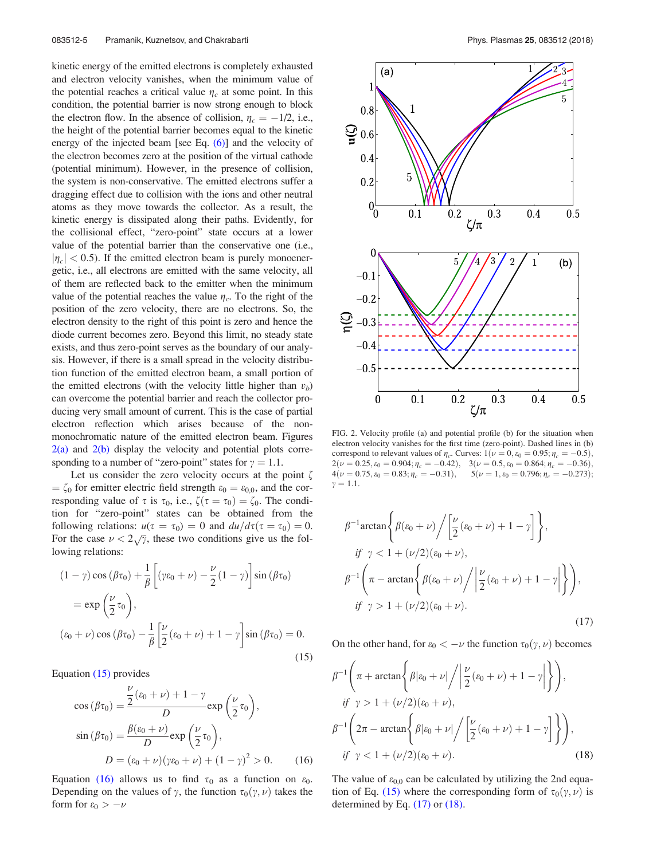kinetic energy of the emitted electrons is completely exhausted and electron velocity vanishes, when the minimum value of the potential reaches a critical value  $\eta_c$  at some point. In this condition, the potential barrier is now strong enough to block the electron flow. In the absence of collision,  $\eta_c = -1/2$ , i.e., the height of the potential barrier becomes equal to the kinetic energy of the injected beam [see Eq. (6)] and the velocity of the electron becomes zero at the position of the virtual cathode (potential minimum). However, in the presence of collision, the system is non-conservative. The emitted electrons suffer a dragging effect due to collision with the ions and other neutral atoms as they move towards the collector. As a result, the kinetic energy is dissipated along their paths. Evidently, for the collisional effect, "zero-point" state occurs at a lower value of the potential barrier than the conservative one (i.e.,  $|\eta_c|$  < 0.5). If the emitted electron beam is purely monoenergetic, i.e., all electrons are emitted with the same velocity, all of them are reflected back to the emitter when the minimum value of the potential reaches the value  $\eta_c$ . To the right of the position of the zero velocity, there are no electrons. So, the electron density to the right of this point is zero and hence the diode current becomes zero. Beyond this limit, no steady state exists, and thus zero-point serves as the boundary of our analysis. However, if there is a small spread in the velocity distribution function of the emitted electron beam, a small portion of the emitted electrons (with the velocity little higher than  $v_b$ ) can overcome the potential barrier and reach the collector producing very small amount of current. This is the case of partial electron reflection which arises because of the nonmonochromatic nature of the emitted electron beam. Figures  $2(a)$  and  $2(b)$  display the velocity and potential plots corresponding to a number of "zero-point" states for  $\gamma = 1.1$ .

Let us consider the zero velocity occurs at the point  $\zeta$  $\epsilon_0 = \zeta_0$  for emitter electric field strength  $\varepsilon_0 = \varepsilon_{0,0}$ , and the corresponding value of  $\tau$  is  $\tau_0$ , i.e.,  $\zeta(\tau = \tau_0) = \zeta_0$ . The condition for "zero-point" states can be obtained from the following relations:  $u(\tau = \tau_0) = 0$  and  $du/d\tau(\tau = \tau_0) = 0$ . For the case  $\nu < 2\sqrt{\gamma}$ , these two conditions give us the following relations:

$$
(1 - \gamma)\cos(\beta\tau_0) + \frac{1}{\beta} \left[ (\gamma\varepsilon_0 + \nu) - \frac{\nu}{2} (1 - \gamma) \right] \sin(\beta\tau_0)
$$
  

$$
= \exp\left(\frac{\nu}{2}\tau_0\right),
$$
  

$$
(\varepsilon_0 + \nu)\cos(\beta\tau_0) - \frac{1}{\beta} \left[ \frac{\nu}{2} (\varepsilon_0 + \nu) + 1 - \gamma \right] \sin(\beta\tau_0) = 0.
$$
 (15)

Equation (15) provides

$$
\cos\left(\beta\tau_0\right) = \frac{\frac{\nu}{2}\left(\epsilon_0 + \nu\right) + 1 - \gamma}{D} \exp\left(\frac{\nu}{2}\tau_0\right),
$$

$$
\sin\left(\beta\tau_0\right) = \frac{\beta(\epsilon_0 + \nu)}{D} \exp\left(\frac{\nu}{2}\tau_0\right),
$$

$$
D = (\epsilon_0 + \nu)(\gamma\epsilon_0 + \nu) + (1 - \gamma)^2 > 0. \tag{16}
$$

Equation (16) allows us to find  $\tau_0$  as a function on  $\varepsilon_0$ . Depending on the values of  $\gamma$ , the function  $\tau_0(\gamma, \nu)$  takes the form for  $\varepsilon_0 > -\nu$ 



FIG. 2. Velocity profile (a) and potential profile (b) for the situation when electron velocity vanishes for the first time (zero-point). Dashed lines in (b) correspond to relevant values of  $\eta_c$ . Curves:  $1(\nu = 0, \varepsilon_0 = 0.95; \eta_c = -0.5)$ ,  $2(\nu = 0.25, \varepsilon_0 = 0.904; \eta_c = -0.42), \quad 3(\nu = 0.5, \varepsilon_0 = 0.864; \eta_c = -0.36),$  $4(\nu = 0.75, \varepsilon_0 = 0.83; \eta_c = -0.31), \quad 5(\nu = 1, \varepsilon_0 = 0.796; \eta_c = -0.273);$  $v = 1.1.$ 

$$
\beta^{-1} \arctan\left\{\beta(\varepsilon_0 + \nu) / \left[\frac{\nu}{2}(\varepsilon_0 + \nu) + 1 - \gamma\right]\right\},\
$$
  
\n
$$
if \ \gamma < 1 + (\nu/2)(\varepsilon_0 + \nu),
$$
  
\n
$$
\beta^{-1} \left(\pi - \arctan\left\{\beta(\varepsilon_0 + \nu) / \left|\frac{\nu}{2}(\varepsilon_0 + \nu) + 1 - \gamma\right|\right\}\right),\
$$
  
\n
$$
if \ \gamma > 1 + (\nu/2)(\varepsilon_0 + \nu).
$$
\n(17)

On the other hand, for  $\varepsilon_0 < -\nu$  the function  $\tau_0(\gamma, \nu)$  becomes

$$
\beta^{-1}\left(\pi + \arctan\left\{\beta|\varepsilon_0 + \nu\right| / \left|\frac{\nu}{2}(\varepsilon_0 + \nu) + 1 - \gamma\right|\right\}\right),
$$
  
\n
$$
\text{if } \gamma > 1 + (\nu/2)(\varepsilon_0 + \nu),
$$
  
\n
$$
\beta^{-1}\left(2\pi - \arctan\left\{\beta|\varepsilon_0 + \nu| / \left[\frac{\nu}{2}(\varepsilon_0 + \nu) + 1 - \gamma\right]\right\}\right),
$$
  
\n
$$
\text{if } \gamma < 1 + (\nu/2)(\varepsilon_0 + \nu).
$$
\n(18)

The value of  $\varepsilon_{0,0}$  can be calculated by utilizing the 2nd equation of Eq. (15) where the corresponding form of  $\tau_0(\gamma, \nu)$  is determined by Eq.  $(17)$  or  $(18)$ .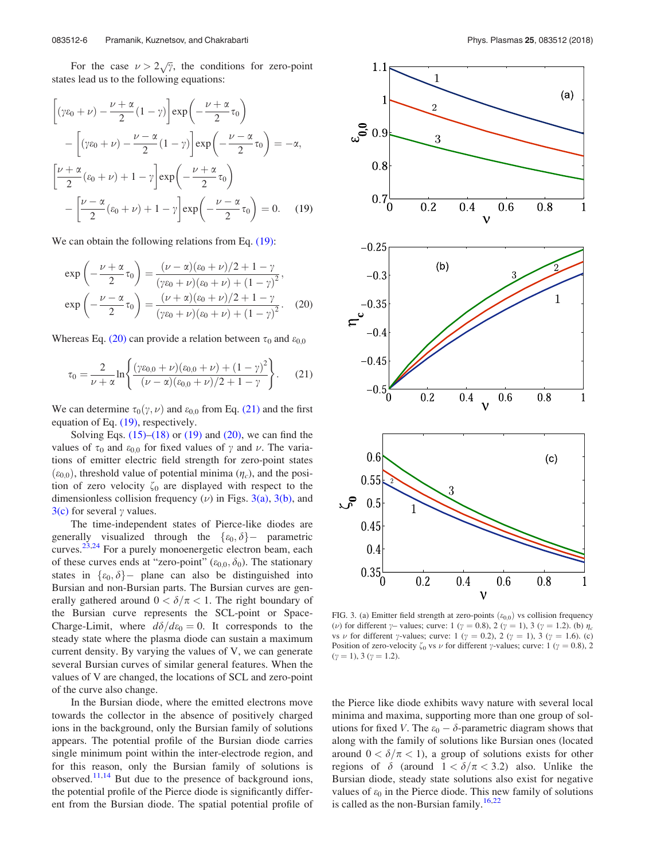For the case  $\nu > 2\sqrt{\gamma}$ , the conditions for zero-point states lead us to the following equations:

$$
\left[ (\gamma \varepsilon_0 + \nu) - \frac{\nu + \alpha}{2} (1 - \gamma) \right] \exp\left( -\frac{\nu + \alpha}{2} \tau_0 \right)
$$

$$
- \left[ (\gamma \varepsilon_0 + \nu) - \frac{\nu - \alpha}{2} (1 - \gamma) \right] \exp\left( -\frac{\nu - \alpha}{2} \tau_0 \right) = -\alpha,
$$

$$
\left[ \frac{\nu + \alpha}{2} (\varepsilon_0 + \nu) + 1 - \gamma \right] \exp\left( -\frac{\nu + \alpha}{2} \tau_0 \right)
$$

$$
- \left[ \frac{\nu - \alpha}{2} (\varepsilon_0 + \nu) + 1 - \gamma \right] \exp\left( -\frac{\nu - \alpha}{2} \tau_0 \right) = 0. \quad (19)
$$

We can obtain the following relations from Eq.  $(19)$ :

$$
\exp\left(-\frac{\nu+\alpha}{2}\tau_0\right) = \frac{(\nu-\alpha)(\epsilon_0+\nu)/2 + 1 - \gamma}{(\gamma\epsilon_0+\nu)(\epsilon_0+\nu) + (1-\gamma)^2},
$$
  
\n
$$
\exp\left(-\frac{\nu-\alpha}{2}\tau_0\right) = \frac{(\nu+\alpha)(\epsilon_0+\nu)/2 + 1 - \gamma}{(\gamma\epsilon_0+\nu)(\epsilon_0+\nu) + (1-\gamma)^2}.
$$
 (20)

Whereas Eq. (20) can provide a relation between  $\tau_0$  and  $\varepsilon_{0,0}$ 

$$
\tau_0 = \frac{2}{\nu + \alpha} \ln \left\{ \frac{(\gamma \varepsilon_{0,0} + \nu)(\varepsilon_{0,0} + \nu) + (1 - \gamma)^2}{(\nu - \alpha)(\varepsilon_{0,0} + \nu)/2 + 1 - \gamma} \right\}.
$$
 (21)

We can determine  $\tau_0(\gamma, \nu)$  and  $\varepsilon_{0,0}$  from Eq. (21) and the first equation of Eq. (19), respectively.

Solving Eqs.  $(15)$ – $(18)$  or  $(19)$  and  $(20)$ , we can find the values of  $\tau_0$  and  $\varepsilon_{0,0}$  for fixed values of  $\gamma$  and  $\nu$ . The variations of emitter electric field strength for zero-point states  $(\varepsilon_{0,0})$ , threshold value of potential minima  $(\eta_c)$ , and the position of zero velocity  $\zeta_0$  are displayed with respect to the dimensionless collision frequency  $(\nu)$  in Figs. 3(a), 3(b), and  $3(c)$  for several  $\gamma$  values.

The time-independent states of Pierce-like diodes are generally visualized through the  $\{\varepsilon_0, \delta\}$  parametric curves.<sup>23,24</sup> For a purely monoenergetic electron beam, each of these curves ends at "zero-point" ( $\varepsilon_{0,0}, \delta_0$ ). The stationary states in  $\{\varepsilon_0, \delta\}$  plane can also be distinguished into Bursian and non-Bursian parts. The Bursian curves are generally gathered around  $0 < \delta/\pi < 1$ . The right boundary of the Bursian curve represents the SCL-point or Space-Charge-Limit, where  $d\delta/d\varepsilon_0 = 0$ . It corresponds to the steady state where the plasma diode can sustain a maximum current density. By varying the values of V, we can generate several Bursian curves of similar general features. When the values of V are changed, the locations of SCL and zero-point of the curve also change.

In the Bursian diode, where the emitted electrons move towards the collector in the absence of positively charged ions in the background, only the Bursian family of solutions appears. The potential profile of the Bursian diode carries single minimum point within the inter-electrode region, and for this reason, only the Bursian family of solutions is observed. $11,14$  But due to the presence of background ions, the potential profile of the Pierce diode is significantly different from the Bursian diode. The spatial potential profile of



FIG. 3. (a) Emitter field strength at zero-points  $(\varepsilon_{0,0})$  vs collision frequency (*v*) for different  $\gamma$ – values; curve: 1 ( $\gamma$  = 0.8), 2 ( $\gamma$  = 1), 3 ( $\gamma$  = 1.2). (b)  $\eta_c$ vs  $\nu$  for different  $\gamma$ -values; curve: 1 ( $\gamma = 0.2$ ), 2 ( $\gamma = 1$ ), 3 ( $\gamma = 1.6$ ). (c) Position of zero-velocity  $\zeta_0$  vs  $\nu$  for different  $\gamma$ -values; curve: 1 ( $\gamma = 0.8$ ), 2  $(\gamma = 1), 3 (\gamma = 1.2).$ 

the Pierce like diode exhibits wavy nature with several local minima and maxima, supporting more than one group of solutions for fixed V. The  $\varepsilon_0 - \delta$ -parametric diagram shows that along with the family of solutions like Bursian ones (located around  $0 < \delta/\pi < 1$ ), a group of solutions exists for other regions of  $\delta$  (around  $1 < \delta/\pi < 3.2$ ) also. Unlike the Bursian diode, steady state solutions also exist for negative values of  $\varepsilon_0$  in the Pierce diode. This new family of solutions is called as the non-Bursian family.<sup>16,22</sup>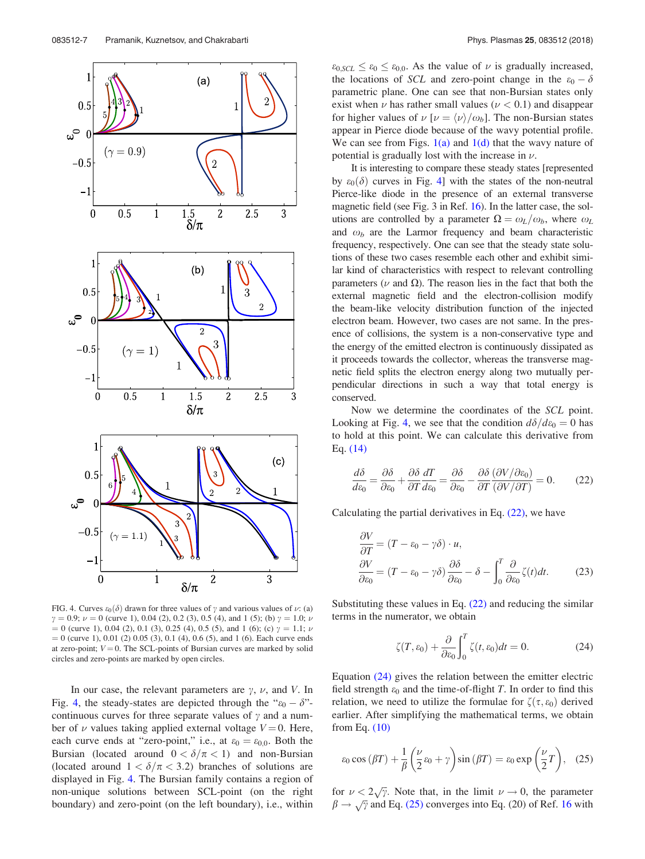

FIG. 4. Curves  $\varepsilon_0(\delta)$  drawn for three values of  $\gamma$  and various values of  $\nu$ : (a)  $\gamma = 0.9; \nu = 0$  (curve 1), 0.04 (2), 0.2 (3), 0.5 (4), and 1 (5); (b)  $\gamma = 1.0; \nu$  $= 0$  (curve 1), 0.04 (2), 0.1 (3), 0.25 (4), 0.5 (5), and 1 (6); (c)  $\gamma = 1.1$ ;  $\nu$  $= 0$  (curve 1), 0.01 (2) 0.05 (3), 0.1 (4), 0.6 (5), and 1 (6). Each curve ends at zero-point;  $V = 0$ . The SCL-points of Bursian curves are marked by solid circles and zero-points are marked by open circles.

In our case, the relevant parameters are  $\gamma$ ,  $\nu$ , and V. In Fig. 4, the steady-states are depicted through the " $\varepsilon_0 - \delta$ "continuous curves for three separate values of  $\gamma$  and a number of  $\nu$  values taking applied external voltage  $V = 0$ . Here, each curve ends at "zero-point," i.e., at  $\varepsilon_0 = \varepsilon_{0,0}$ . Both the Bursian (located around  $0 < \delta/\pi < 1$ ) and non-Bursian (located around  $1 < \delta/\pi < 3.2$ ) branches of solutions are displayed in Fig. 4. The Bursian family contains a region of non-unique solutions between SCL-point (on the right boundary) and zero-point (on the left boundary), i.e., within

 $\varepsilon_{0, SCL} \leq \varepsilon_0 \leq \varepsilon_{0,0}$ . As the value of  $\nu$  is gradually increased, the locations of SCL and zero-point change in the  $\varepsilon_0 - \delta$ parametric plane. One can see that non-Bursian states only exist when  $\nu$  has rather small values ( $\nu < 0.1$ ) and disappear for higher values of  $\nu$  [ $\nu = \langle \nu \rangle / \omega_b$ ]. The non-Bursian states appear in Pierce diode because of the wavy potential profile. We can see from Figs.  $1(a)$  and  $1(d)$  that the wavy nature of potential is gradually lost with the increase in  $\nu$ .

It is interesting to compare these steady states [represented by  $\varepsilon_0(\delta)$  curves in Fig. 4] with the states of the non-neutral Pierce-like diode in the presence of an external transverse magnetic field (see Fig. 3 in Ref. 16). In the latter case, the solutions are controlled by a parameter  $\Omega = \omega_L/\omega_b$ , where  $\omega_L$ and  $\omega_b$  are the Larmor frequency and beam characteristic frequency, respectively. One can see that the steady state solutions of these two cases resemble each other and exhibit similar kind of characteristics with respect to relevant controlling parameters ( $\nu$  and  $\Omega$ ). The reason lies in the fact that both the external magnetic field and the electron-collision modify the beam-like velocity distribution function of the injected electron beam. However, two cases are not same. In the presence of collisions, the system is a non-conservative type and the energy of the emitted electron is continuously dissipated as it proceeds towards the collector, whereas the transverse magnetic field splits the electron energy along two mutually perpendicular directions in such a way that total energy is conserved.

Now we determine the coordinates of the SCL point. Looking at Fig. 4, we see that the condition  $d\delta/d\varepsilon_0 = 0$  has to hold at this point. We can calculate this derivative from Eq. (14)

$$
\frac{d\delta}{d\varepsilon_0} = \frac{\partial \delta}{\partial \varepsilon_0} + \frac{\partial \delta}{\partial T} \frac{dT}{d\varepsilon_0} = \frac{\partial \delta}{\partial \varepsilon_0} - \frac{\partial \delta}{\partial T} \frac{(\partial V/\partial \varepsilon_0)}{(\partial V/\partial T)} = 0.
$$
 (22)

Calculating the partial derivatives in Eq.  $(22)$ , we have

$$
\frac{\partial V}{\partial T} = (T - \varepsilon_0 - \gamma \delta) \cdot u,
$$
  
\n
$$
\frac{\partial V}{\partial \varepsilon_0} = (T - \varepsilon_0 - \gamma \delta) \frac{\partial \delta}{\partial \varepsilon_0} - \delta - \int_0^T \frac{\partial}{\partial \varepsilon_0} \zeta(t) dt.
$$
 (23)

Substituting these values in Eq. (22) and reducing the similar terms in the numerator, we obtain

$$
\zeta(T, \varepsilon_0) + \frac{\partial}{\partial \varepsilon_0} \int_0^T \zeta(t, \varepsilon_0) dt = 0.
$$
 (24)

Equation (24) gives the relation between the emitter electric field strength  $\varepsilon_0$  and the time-of-flight T. In order to find this relation, we need to utilize the formulae for  $\zeta(\tau,\varepsilon_0)$  derived earlier. After simplifying the mathematical terms, we obtain from Eq. (10)

$$
\varepsilon_0 \cos\left(\beta T\right) + \frac{1}{\beta} \left(\frac{\nu}{2}\varepsilon_0 + \gamma\right) \sin\left(\beta T\right) = \varepsilon_0 \exp\left(\frac{\nu}{2}T\right), \quad (25)
$$

for  $\nu < 2\sqrt{\gamma}$ . Note that, in the limit  $\nu \to 0$ , the parameter  $\beta \rightarrow \sqrt{\gamma}$  and Eq. (25) converges into Eq. (20) of Ref. 16 with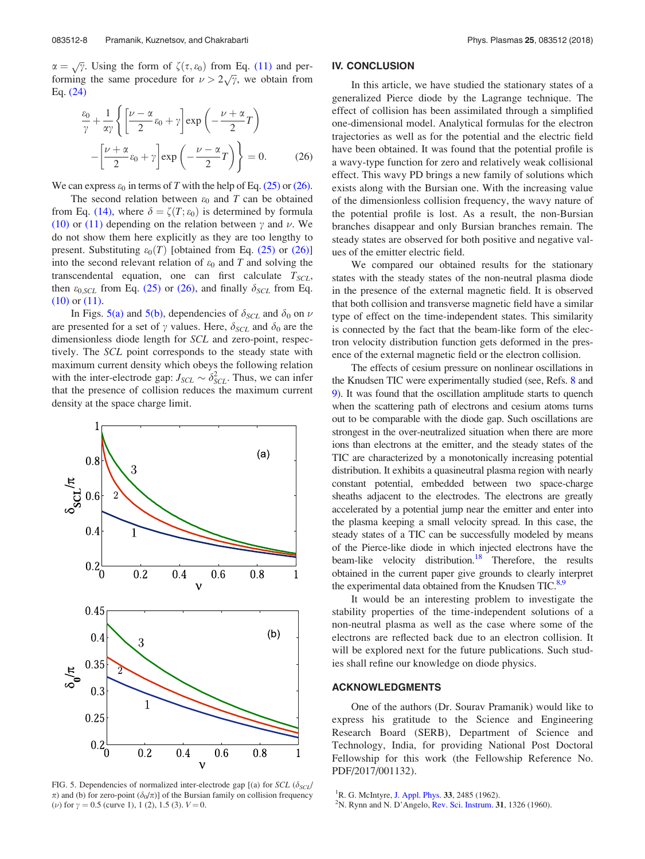$\alpha = \sqrt{\gamma}$ . Using the form of  $\zeta(\tau, \varepsilon_0)$  from Eq. (11) and performing the same procedure for  $\nu > 2\sqrt{\gamma}$ , we obtain from Eq. (24)

$$
\frac{\varepsilon_0}{\gamma} + \frac{1}{\alpha \gamma} \left\{ \left[ \frac{\nu - \alpha}{2} \varepsilon_0 + \gamma \right] \exp\left( -\frac{\nu + \alpha}{2} T \right) - \left[ \frac{\nu + \alpha}{2} \varepsilon_0 + \gamma \right] \exp\left( -\frac{\nu - \alpha}{2} T \right) \right\} = 0. \tag{26}
$$

We can express  $\varepsilon_0$  in terms of T with the help of Eq. (25) or (26).

The second relation between  $\varepsilon_0$  and T can be obtained from Eq. (14), where  $\delta = \zeta(T;\varepsilon_0)$  is determined by formula (10) or (11) depending on the relation between  $\gamma$  and  $\nu$ . We do not show them here explicitly as they are too lengthy to present. Substituting  $\varepsilon_0(T)$  [obtained from Eq. (25) or (26)] into the second relevant relation of  $\varepsilon_0$  and T and solving the transcendental equation, one can first calculate  $T_{SCL}$ , then  $\varepsilon_{0, SCL}$  from Eq. (25) or (26), and finally  $\delta_{SCL}$  from Eq. (10) or (11).

In Figs. 5(a) and 5(b), dependencies of  $\delta_{SCL}$  and  $\delta_0$  on  $\nu$ are presented for a set of  $\gamma$  values. Here,  $\delta_{SCL}$  and  $\delta_0$  are the dimensionless diode length for SCL and zero-point, respectively. The SCL point corresponds to the steady state with maximum current density which obeys the following relation with the inter-electrode gap:  $J_{SCL} \sim \delta_{SCL}^2$ . Thus, we can infer that the presence of collision reduces the maximum current density at the space charge limit.



FIG. 5. Dependencies of normalized inter-electrode gap [(a) for SCL ( $\delta_{SCL}$ /  $\pi$ ) and (b) for zero-point ( $\delta_0/\pi$ )] of the Bursian family on collision frequency (*v*) for  $\gamma = 0.5$  (curve 1), 1 (2), 1.5 (3).  $V = 0$ .

#### IV. CONCLUSION

In this article, we have studied the stationary states of a generalized Pierce diode by the Lagrange technique. The effect of collision has been assimilated through a simplified one-dimensional model. Analytical formulas for the electron trajectories as well as for the potential and the electric field have been obtained. It was found that the potential profile is a wavy-type function for zero and relatively weak collisional effect. This wavy PD brings a new family of solutions which exists along with the Bursian one. With the increasing value of the dimensionless collision frequency, the wavy nature of the potential profile is lost. As a result, the non-Bursian branches disappear and only Bursian branches remain. The steady states are observed for both positive and negative values of the emitter electric field.

We compared our obtained results for the stationary states with the steady states of the non-neutral plasma diode in the presence of the external magnetic field. It is observed that both collision and transverse magnetic field have a similar type of effect on the time-independent states. This similarity is connected by the fact that the beam-like form of the electron velocity distribution function gets deformed in the presence of the external magnetic field or the electron collision.

The effects of cesium pressure on nonlinear oscillations in the Knudsen TIC were experimentally studied (see, Refs. 8 and 9). It was found that the oscillation amplitude starts to quench when the scattering path of electrons and cesium atoms turns out to be comparable with the diode gap. Such oscillations are strongest in the over-neutralized situation when there are more ions than electrons at the emitter, and the steady states of the TIC are characterized by a monotonically increasing potential distribution. It exhibits a quasineutral plasma region with nearly constant potential, embedded between two space-charge sheaths adjacent to the electrodes. The electrons are greatly accelerated by a potential jump near the emitter and enter into the plasma keeping a small velocity spread. In this case, the steady states of a TIC can be successfully modeled by means of the Pierce-like diode in which injected electrons have the beam-like velocity distribution.<sup>18</sup> Therefore, the results obtained in the current paper give grounds to clearly interpret the experimental data obtained from the Knudsen  $TIC$ .<sup>8,9</sup>

It would be an interesting problem to investigate the stability properties of the time-independent solutions of a non-neutral plasma as well as the case where some of the electrons are reflected back due to an electron collision. It will be explored next for the future publications. Such studies shall refine our knowledge on diode physics.

#### ACKNOWLEDGMENTS

One of the authors (Dr. Sourav Pramanik) would like to express his gratitude to the Science and Engineering Research Board (SERB), Department of Science and Technology, India, for providing National Post Doctoral Fellowship for this work (the Fellowship Reference No. PDF/2017/001132).

<sup>&</sup>lt;sup>1</sup>R. G. McIntyre, J. Appl. Phys. 33, 2485 (1962).

 $2$ N. Rynn and N. D'Angelo, Rev. Sci. Instrum. 31, 1326 (1960).